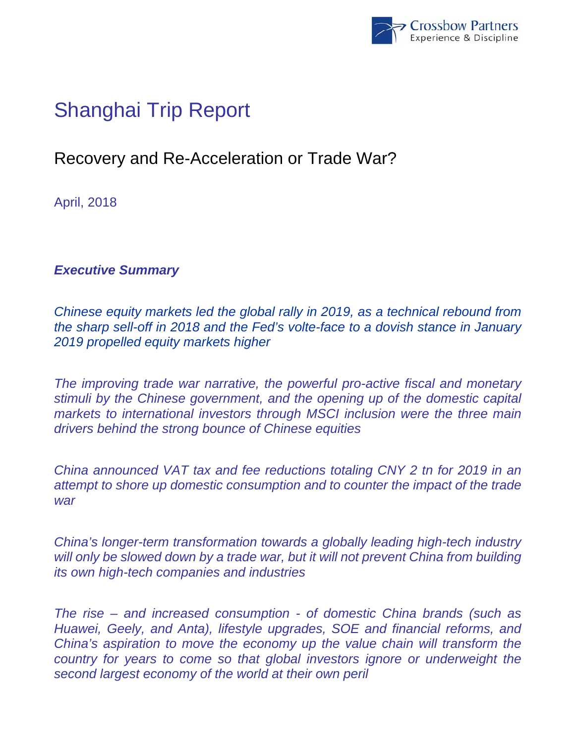

# Shanghai Trip Report

# Recovery and Re-Acceleration or Trade War?

April, 2018

### *Executive Summary*

*Chinese equity markets led the global rally in 2019, as a technical rebound from the sharp sell-off in 2018 and the Fed's volte-face to a dovish stance in January 2019 propelled equity markets higher* 

*The improving trade war narrative, the powerful pro-active fiscal and monetary stimuli by the Chinese government, and the opening up of the domestic capital markets to international investors through MSCI inclusion were the three main drivers behind the strong bounce of Chinese equities* 

*China announced VAT tax and fee reductions totaling CNY 2 tn for 2019 in an attempt to shore up domestic consumption and to counter the impact of the trade war* 

*China's longer-term transformation towards a globally leading high-tech industry*  will only be slowed down by a trade war, but it will not prevent China from building *its own high-tech companies and industries* 

*The rise – and increased consumption - of domestic China brands (such as Huawei, Geely, and Anta), lifestyle upgrades, SOE and financial reforms, and China's aspiration to move the economy up the value chain will transform the country for years to come so that global investors ignore or underweight the second largest economy of the world at their own peril*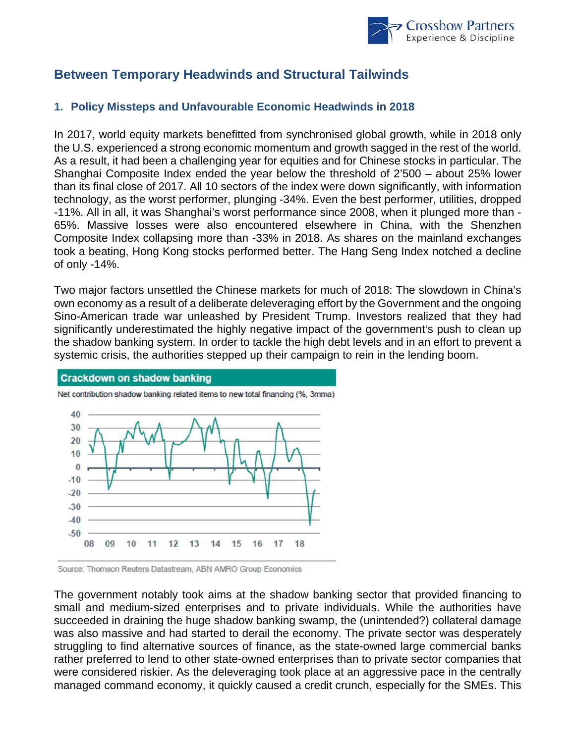

## **Between Temporary Headwinds and Structural Tailwinds**

#### **1. Policy Missteps and Unfavourable Economic Headwinds in 2018**

In 2017, world equity markets benefitted from synchronised global growth, while in 2018 only the U.S. experienced a strong economic momentum and growth sagged in the rest of the world. As a result, it had been a challenging year for equities and for Chinese stocks in particular. The Shanghai Composite Index ended the year below the threshold of 2'500 – about 25% lower than its final close of 2017. All 10 sectors of the index were down significantly, with information technology, as the worst performer, plunging -34%. Even the best performer, utilities, dropped -11%. All in all, it was Shanghai's worst performance since 2008, when it plunged more than - 65%. Massive losses were also encountered elsewhere in China, with the Shenzhen Composite Index collapsing more than -33% in 2018. As shares on the mainland exchanges took a beating, Hong Kong stocks performed better. The Hang Seng Index notched a decline of only -14%.

Two major factors unsettled the Chinese markets for much of 2018: The slowdown in China's own economy as a result of a deliberate deleveraging effort by the Government and the ongoing Sino-American trade war unleashed by President Trump. Investors realized that they had significantly underestimated the highly negative impact of the government's push to clean up the shadow banking system. In order to tackle the high debt levels and in an effort to prevent a systemic crisis, the authorities stepped up their campaign to rein in the lending boom.



Net contribution shadow banking related items to new total financing (%, 3mma)

Source: Thomson Reuters Datastream, ABN AMRO Group Economics

The government notably took aims at the shadow banking sector that provided financing to small and medium-sized enterprises and to private individuals. While the authorities have succeeded in draining the huge shadow banking swamp, the (unintended?) collateral damage was also massive and had started to derail the economy. The private sector was desperately struggling to find alternative sources of finance, as the state-owned large commercial banks rather preferred to lend to other state-owned enterprises than to private sector companies that were considered riskier. As the deleveraging took place at an aggressive pace in the centrally managed command economy, it quickly caused a credit crunch, especially for the SMEs. This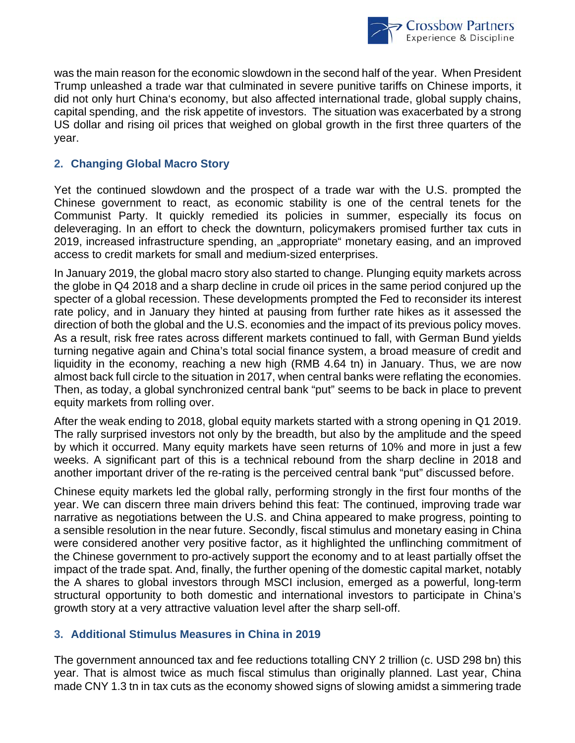

was the main reason for the economic slowdown in the second half of the year. When President Trump unleashed a trade war that culminated in severe punitive tariffs on Chinese imports, it did not only hurt China's economy, but also affected international trade, global supply chains, capital spending, and the risk appetite of investors. The situation was exacerbated by a strong US dollar and rising oil prices that weighed on global growth in the first three quarters of the year.

#### **2. Changing Global Macro Story**

Yet the continued slowdown and the prospect of a trade war with the U.S. prompted the Chinese government to react, as economic stability is one of the central tenets for the Communist Party. It quickly remedied its policies in summer, especially its focus on deleveraging. In an effort to check the downturn, policymakers promised further tax cuts in 2019, increased infrastructure spending, an "appropriate" monetary easing, and an improved access to credit markets for small and medium-sized enterprises.

In January 2019, the global macro story also started to change. Plunging equity markets across the globe in Q4 2018 and a sharp decline in crude oil prices in the same period conjured up the specter of a global recession. These developments prompted the Fed to reconsider its interest rate policy, and in January they hinted at pausing from further rate hikes as it assessed the direction of both the global and the U.S. economies and the impact of its previous policy moves. As a result, risk free rates across different markets continued to fall, with German Bund yields turning negative again and China's total social finance system, a broad measure of credit and liquidity in the economy, reaching a new high (RMB 4.64 tn) in January. Thus, we are now almost back full circle to the situation in 2017, when central banks were reflating the economies. Then, as today, a global synchronized central bank "put" seems to be back in place to prevent equity markets from rolling over.

After the weak ending to 2018, global equity markets started with a strong opening in Q1 2019. The rally surprised investors not only by the breadth, but also by the amplitude and the speed by which it occurred. Many equity markets have seen returns of 10% and more in just a few weeks. A significant part of this is a technical rebound from the sharp decline in 2018 and another important driver of the re-rating is the perceived central bank "put" discussed before.

Chinese equity markets led the global rally, performing strongly in the first four months of the year. We can discern three main drivers behind this feat: The continued, improving trade war narrative as negotiations between the U.S. and China appeared to make progress, pointing to a sensible resolution in the near future. Secondly, fiscal stimulus and monetary easing in China were considered another very positive factor, as it highlighted the unflinching commitment of the Chinese government to pro-actively support the economy and to at least partially offset the impact of the trade spat. And, finally, the further opening of the domestic capital market, notably the A shares to global investors through MSCI inclusion, emerged as a powerful, long-term structural opportunity to both domestic and international investors to participate in China's growth story at a very attractive valuation level after the sharp sell-off.

#### **3. Additional Stimulus Measures in China in 2019**

The government announced tax and fee reductions totalling CNY 2 trillion (c. USD 298 bn) this year. That is almost twice as much fiscal stimulus than originally planned. Last year, China made CNY 1.3 tn in tax cuts as the economy showed signs of slowing amidst a simmering trade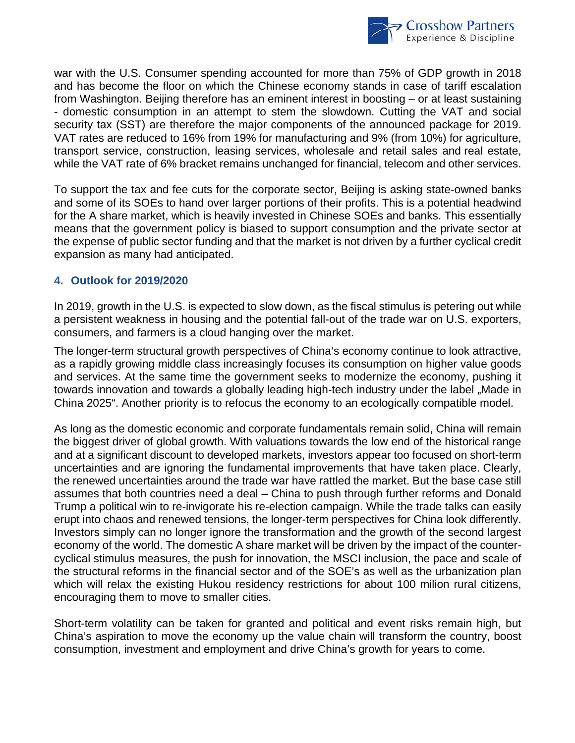

war with the U.S. Consumer spending accounted for more than 75% of GDP growth in 2018 and has become the floor on which the Chinese economy stands in case of tariff escalation from Washington. Beijing therefore has an eminent interest in boosting – or at least sustaining - domestic consumption in an attempt to stem the slowdown. Cutting the VAT and social security tax (SST) are therefore the major components of the announced package for 2019. VAT rates are reduced to 16% from 19% for manufacturing and 9% (from 10%) for agriculture, transport service, construction, leasing services, wholesale and retail sales and real estate, while the VAT rate of 6% bracket remains unchanged for financial, telecom and other services.

To support the tax and fee cuts for the corporate sector, Beijing is asking state-owned banks and some of its SOEs to hand over larger portions of their profits. This is a potential headwind for the A share market, which is heavily invested in Chinese SOEs and banks. This essentially means that the government policy is biased to support consumption and the private sector at the expense of public sector funding and that the market is not driven by a further cyclical credit expansion as many had anticipated.

#### **4. Outlook for 2019/2020**

In 2019, growth in the U.S. is expected to slow down, as the fiscal stimulus is petering out while a persistent weakness in housing and the potential fall-out of the trade war on U.S. exporters, consumers, and farmers is a cloud hanging over the market.

The longer-term structural growth perspectives of China's economy continue to look attractive, as a rapidly growing middle class increasingly focuses its consumption on higher value goods and services. At the same time the government seeks to modernize the economy, pushing it towards innovation and towards a globally leading high-tech industry under the label "Made in China 2025". Another priority is to refocus the economy to an ecologically compatible model.

As long as the domestic economic and corporate fundamentals remain solid, China will remain the biggest driver of global growth. With valuations towards the low end of the historical range and at a significant discount to developed markets, investors appear too focused on short-term uncertainties and are ignoring the fundamental improvements that have taken place. Clearly, the renewed uncertainties around the trade war have rattled the market. But the base case still assumes that both countries need a deal – China to push through further reforms and Donald Trump a political win to re-invigorate his re-election campaign. While the trade talks can easily erupt into chaos and renewed tensions, the longer-term perspectives for China look differently. Investors simply can no longer ignore the transformation and the growth of the second largest economy of the world. The domestic A share market will be driven by the impact of the countercyclical stimulus measures, the push for innovation, the MSCI inclusion, the pace and scale of the structural reforms in the financial sector and of the SOE's as well as the urbanization plan which will relax the existing Hukou residency restrictions for about 100 milion rural citizens, encouraging them to move to smaller cities.

Short-term volatility can be taken for granted and political and event risks remain high, but China's aspiration to move the economy up the value chain will transform the country, boost consumption, investment and employment and drive China's growth for years to come.